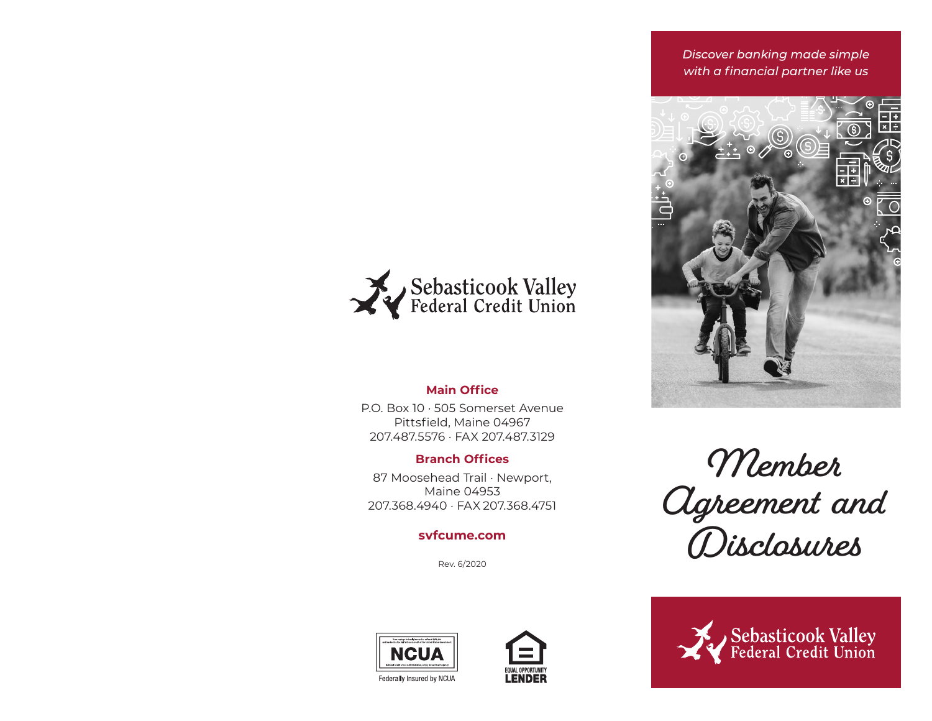*Discover banking made simple with a financial partner like us*





# **Main Office**

P.O. Box 10 · 505 Somerset AvenuePittsfield, Maine 04967 207.487.5576 · FAX 207.487.3129

# **Branch Offices**

87 Moosehead Trail · Newport, Maine 04953207.368.4940 · FAX 207.368.4751

# **svfcume.com**

Rev. 6/2020







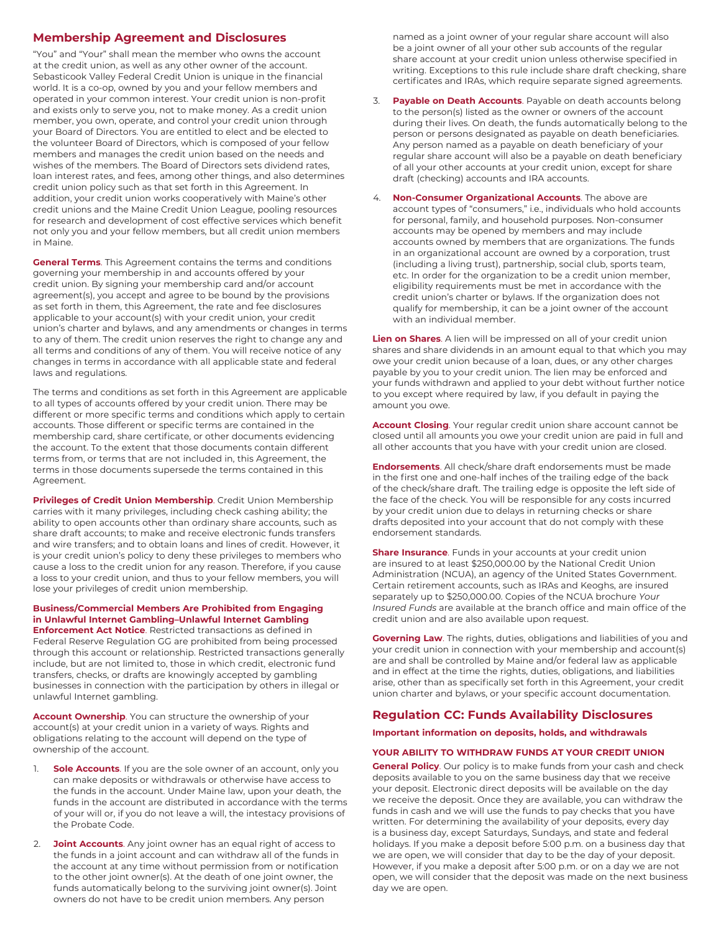## **Membership Agreement and Disclosures**

"You" and "Your" shall mean the member who owns the account at the credit union, as well as any other owner of the account. Sebasticook Valley Federal Credit Union is unique in the financial world. It is a co-op, owned by you and your fellow members and operated in your common interest. Your credit union is non-profit and exists only to serve you, not to make money. As a credit union member, you own, operate, and control your credit union through your Board of Directors. You are entitled to elect and be elected to the volunteer Board of Directors, which is composed of your fellow members and manages the credit union based on the needs and wishes of the members. The Board of Directors sets dividend rates, loan interest rates, and fees, among other things, and also determines credit union policy such as that set forth in this Agreement. In addition, your credit union works cooperatively with Maine's other credit unions and the Maine Credit Union League, pooling resources for research and development of cost effective services which benefit not only you and your fellow members, but all credit union members in Maine.

**General Terms**. This Agreement contains the terms and conditions governing your membership in and accounts offered by your credit union. By signing your membership card and/or account agreement(s), you accept and agree to be bound by the provisions as set forth in them, this Agreement, the rate and fee disclosures applicable to your account(s) with your credit union, your credit union's charter and bylaws, and any amendments or changes in terms to any of them. The credit union reserves the right to change any and all terms and conditions of any of them. You will receive notice of any changes in terms in accordance with all applicable state and federal laws and regulations.

The terms and conditions as set forth in this Agreement are applicable to all types of accounts offered by your credit union. There may be different or more specific terms and conditions which apply to certain accounts. Those different or specific terms are contained in the membership card, share certificate, or other documents evidencing the account. To the extent that those documents contain different terms from, or terms that are not included in, this Agreement, the terms in those documents supersede the terms contained in this Agreement.

**Privileges of Credit Union Membership**. Credit Union Membership carries with it many privileges, including check cashing ability; the ability to open accounts other than ordinary share accounts, such as share draft accounts; to make and receive electronic funds transfers and wire transfers; and to obtain loans and lines of credit. However, it is your credit union's policy to deny these privileges to members who cause a loss to the credit union for any reason. Therefore, if you cause a loss to your credit union, and thus to your fellow members, you will lose your privileges of credit union membership.

#### **Business/Commercial Members Are Prohibited from Engaging in Unlawful Internet Gambling–Unlawful Internet Gambling Enforcement Act Notice**. Restricted transactions as defined in

Federal Reserve Regulation GG are prohibited from being processed through this account or relationship. Restricted transactions generally include, but are not limited to, those in which credit, electronic fund transfers, checks, or drafts are knowingly accepted by gambling businesses in connection with the participation by others in illegal or unlawful Internet gambling.

**Account Ownership**. You can structure the ownership of your account(s) at your credit union in a variety of ways. Rights and obligations relating to the account will depend on the type of ownership of the account.

- 1. **Sole Accounts**. If you are the sole owner of an account, only you can make deposits or withdrawals or otherwise have access to the funds in the account. Under Maine law, upon your death, the funds in the account are distributed in accordance with the terms of your will or, if you do not leave a will, the intestacy provisions of the Probate Code.
- 2. **Joint Accounts**. Any joint owner has an equal right of access to the funds in a joint account and can withdraw all of the funds in the account at any time without permission from or notification to the other joint owner(s). At the death of one joint owner, the funds automatically belong to the surviving joint owner(s). Joint owners do not have to be credit union members. Any person

named as a joint owner of your regular share account will also be a joint owner of all your other sub accounts of the regular share account at your credit union unless otherwise specified in writing. Exceptions to this rule include share draft checking, share certificates and IRAs, which require separate signed agreements.

- 3. **Payable on Death Accounts**. Payable on death accounts belong to the person(s) listed as the owner or owners of the account during their lives. On death, the funds automatically belong to the person or persons designated as payable on death beneficiaries. Any person named as a payable on death beneficiary of your regular share account will also be a payable on death beneficiary of all your other accounts at your credit union, except for share draft (checking) accounts and IRA accounts.
- **Non-Consumer Organizational Accounts**. The above are account types of "consumers," i.e., individuals who hold accounts for personal, family, and household purposes. Non-consumer accounts may be opened by members and may include accounts owned by members that are organizations. The funds in an organizational account are owned by a corporation, trust (including a living trust), partnership, social club, sports team, etc. In order for the organization to be a credit union member, eligibility requirements must be met in accordance with the credit union's charter or bylaws. If the organization does not qualify for membership, it can be a joint owner of the account with an individual member.

**Lien on Shares**. A lien will be impressed on all of your credit union shares and share dividends in an amount equal to that which you may owe your credit union because of a loan, dues, or any other charges payable by you to your credit union. The lien may be enforced and your funds withdrawn and applied to your debt without further notice to you except where required by law, if you default in paying the amount you owe.

**Account Closing**. Your regular credit union share account cannot be closed until all amounts you owe your credit union are paid in full and all other accounts that you have with your credit union are closed.

**Endorsements**. All check/share draft endorsements must be made in the first one and one-half inches of the trailing edge of the back of the check/share draft. The trailing edge is opposite the left side of the face of the check. You will be responsible for any costs incurred by your credit union due to delays in returning checks or share drafts deposited into your account that do not comply with these endorsement standards.

**Share Insurance**. Funds in your accounts at your credit union are insured to at least \$250,000.00 by the National Credit Union Administration (NCUA), an agency of the United States Government. Certain retirement accounts, such as IRAs and Keoghs, are insured separately up to \$250,000.00. Copies of the NCUA brochure *Your Insured Funds* are available at the branch office and main office of the credit union and are also available upon request.

**Governing Law**. The rights, duties, obligations and liabilities of you and your credit union in connection with your membership and account(s) are and shall be controlled by Maine and/or federal law as applicable and in effect at the time the rights, duties, obligations, and liabilities arise, other than as specifically set forth in this Agreement, your credit union charter and bylaws, or your specific account documentation.

## **Regulation CC: Funds Availability Disclosures**

**Important information on deposits, holds, and withdrawals**

#### **YOUR ABILITY TO WITHDRAW FUNDS AT YOUR CREDIT UNION**

**General Policy**. Our policy is to make funds from your cash and check deposits available to you on the same business day that we receive your deposit. Electronic direct deposits will be available on the day we receive the deposit. Once they are available, you can withdraw the funds in cash and we will use the funds to pay checks that you have written. For determining the availability of your deposits, every day is a business day, except Saturdays, Sundays, and state and federal holidays. If you make a deposit before 5:00 p.m. on a business day that we are open, we will consider that day to be the day of your deposit. However, if you make a deposit after 5:00 p.m. or on a day we are not open, we will consider that the deposit was made on the next business day we are open.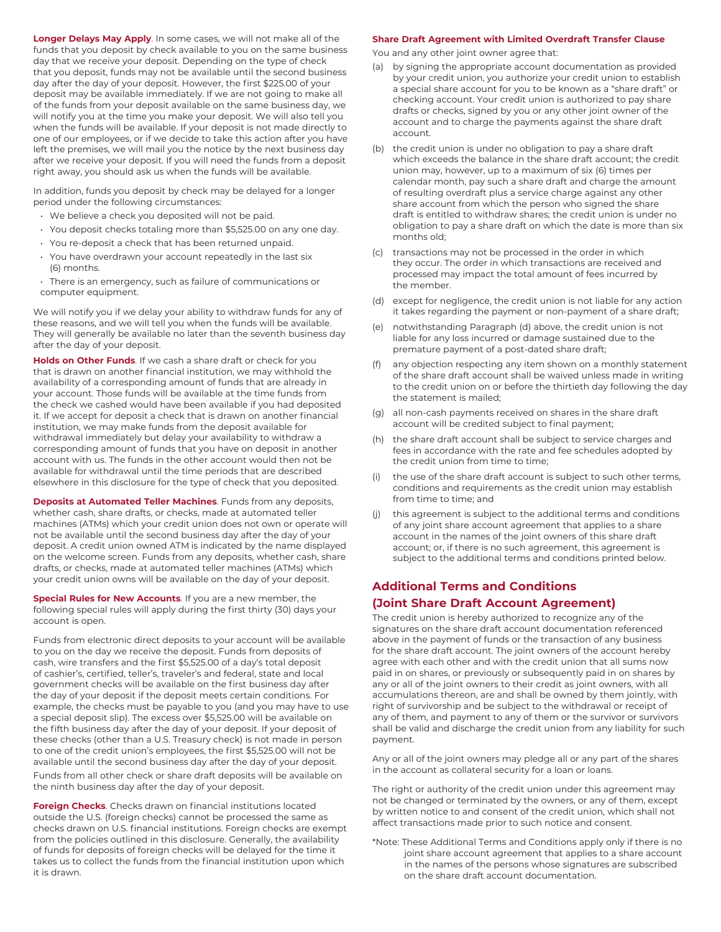**Longer Delays May Apply**. In some cases, we will not make all of the funds that you deposit by check available to you on the same business day that we receive your deposit. Depending on the type of check that you deposit, funds may not be available until the second business day after the day of your deposit. However, the first \$225.00 of your deposit may be available immediately. If we are not going to make all of the funds from your deposit available on the same business day, we will notify you at the time you make your deposit. We will also tell you when the funds will be available. If your deposit is not made directly to one of our employees, or if we decide to take this action after you have left the premises, we will mail you the notice by the next business day after we receive your deposit. If you will need the funds from a deposit right away, you should ask us when the funds will be available.

In addition, funds you deposit by check may be delayed for a longer period under the following circumstances:

- We believe a check you deposited will not be paid.
- You deposit checks totaling more than \$5,525.00 on any one day.
- You re-deposit a check that has been returned unpaid.
- You have overdrawn your account repeatedly in the last six (6) months.
- There is an emergency, such as failure of communications or computer equipment.

We will notify you if we delay your ability to withdraw funds for any of these reasons, and we will tell you when the funds will be available. They will generally be available no later than the seventh business day after the day of your deposit.

**Holds on Other Funds**. If we cash a share draft or check for you that is drawn on another financial institution, we may withhold the availability of a corresponding amount of funds that are already in your account. Those funds will be available at the time funds from the check we cashed would have been available if you had deposited it. If we accept for deposit a check that is drawn on another financial institution, we may make funds from the deposit available for withdrawal immediately but delay your availability to withdraw a corresponding amount of funds that you have on deposit in another account with us. The funds in the other account would then not be available for withdrawal until the time periods that are described elsewhere in this disclosure for the type of check that you deposited.

**Deposits at Automated Teller Machines**. Funds from any deposits, whether cash, share drafts, or checks, made at automated teller machines (ATMs) which your credit union does not own or operate will not be available until the second business day after the day of your deposit. A credit union owned ATM is indicated by the name displayed on the welcome screen. Funds from any deposits, whether cash, share drafts, or checks, made at automated teller machines (ATMs) which your credit union owns will be available on the day of your deposit.

**Special Rules for New Accounts**. If you are a new member, the following special rules will apply during the first thirty (30) days your account is open.

Funds from electronic direct deposits to your account will be available to you on the day we receive the deposit. Funds from deposits of cash, wire transfers and the first \$5,525.00 of a day's total deposit of cashier's, certified, teller's, traveler's and federal, state and local government checks will be available on the first business day after the day of your deposit if the deposit meets certain conditions. For example, the checks must be payable to you (and you may have to use a special deposit slip). The excess over \$5,525.00 will be available on the fifth business day after the day of your deposit. If your deposit of these checks (other than a U.S. Treasury check) is not made in person to one of the credit union's employees, the first \$5,525.00 will not be available until the second business day after the day of your deposit. Funds from all other check or share draft deposits will be available on the ninth business day after the day of your deposit.

**Foreign Checks**. Checks drawn on financial institutions located outside the U.S. (foreign checks) cannot be processed the same as checks drawn on U.S. financial institutions. Foreign checks are exempt from the policies outlined in this disclosure. Generally, the availability of funds for deposits of foreign checks will be delayed for the time it takes us to collect the funds from the financial institution upon which it is drawn.

#### **Share Draft Agreement with Limited Overdraft Transfer Clause**

You and any other joint owner agree that:

- (a) by signing the appropriate account documentation as provided by your credit union, you authorize your credit union to establish a special share account for you to be known as a "share draft" or checking account. Your credit union is authorized to pay share drafts or checks, signed by you or any other joint owner of the account and to charge the payments against the share draft account.
- (b) the credit union is under no obligation to pay a share draft which exceeds the balance in the share draft account; the credit union may, however, up to a maximum of six (6) times per calendar month, pay such a share draft and charge the amount of resulting overdraft plus a service charge against any other share account from which the person who signed the share draft is entitled to withdraw shares; the credit union is under no obligation to pay a share draft on which the date is more than six months old;
- (c) transactions may not be processed in the order in which they occur. The order in which transactions are received and processed may impact the total amount of fees incurred by the member.
- (d) except for negligence, the credit union is not liable for any action it takes regarding the payment or non-payment of a share draft;
- (e) notwithstanding Paragraph (d) above, the credit union is not liable for any loss incurred or damage sustained due to the premature payment of a post-dated share draft;
- any objection respecting any item shown on a monthly statement of the share draft account shall be waived unless made in writing to the credit union on or before the thirtieth day following the day the statement is mailed;
- (g) all non-cash payments received on shares in the share draft account will be credited subject to final payment;
- (h) the share draft account shall be subject to service charges and fees in accordance with the rate and fee schedules adopted by the credit union from time to time;
- the use of the share draft account is subject to such other terms, conditions and requirements as the credit union may establish from time to time; and
- (j) this agreement is subject to the additional terms and conditions of any joint share account agreement that applies to a share account in the names of the joint owners of this share draft account; or, if there is no such agreement, this agreement is subject to the additional terms and conditions printed below.

# **Additional Terms and Conditions (Joint Share Draft Account Agreement)**

The credit union is hereby authorized to recognize any of the signatures on the share draft account documentation referenced above in the payment of funds or the transaction of any business for the share draft account. The joint owners of the account hereby agree with each other and with the credit union that all sums now paid in on shares, or previously or subsequently paid in on shares by any or all of the joint owners to their credit as joint owners, with all accumulations thereon, are and shall be owned by them jointly, with right of survivorship and be subject to the withdrawal or receipt of any of them, and payment to any of them or the survivor or survivors shall be valid and discharge the credit union from any liability for such payment.

Any or all of the joint owners may pledge all or any part of the shares in the account as collateral security for a loan or loans.

The right or authority of the credit union under this agreement may not be changed or terminated by the owners, or any of them, except by written notice to and consent of the credit union, which shall not affect transactions made prior to such notice and consent.

\*Note: These Additional Terms and Conditions apply only if there is no joint share account agreement that applies to a share account in the names of the persons whose signatures are subscribed on the share draft account documentation.